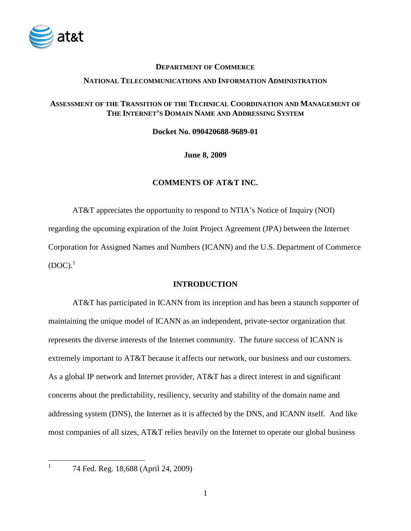

### **DEPARTMENT OF COMMERCE**

#### **NATIONAL TELECOMMUNICATIONS AND INFORMATION ADMINISTRATION**

### **ASSESSMENT OF THE TRANSITION OF THE TECHNICAL COORDINATION AND MANAGEMENT OF THE INTERNET'S DOMAIN NAME AND ADDRESSING SYSTEM**

**Docket No. 090420688-9689-01** 

**June 8, 2009** 

### **COMMENTS OF AT&T INC.**

 AT&T appreciates the opportunity to respond to NTIA's Notice of Inquiry (NOI) regarding the upcoming expiration of the Joint Project Agreement (JPA) between the Internet Corporation for Assigned Names and Numbers (ICANN) and the U.S. Department of Commerce  $(DOC).$ <sup>1</sup>

### **INTRODUCTION**

 AT&T has participated in ICANN from its inception and has been a staunch supporter of maintaining the unique model of ICANN as an independent, private-sector organization that represents the diverse interests of the Internet community. The future success of ICANN is extremely important to AT&T because it affects our network, our business and our customers. As a global IP network and Internet provider, AT&T has a direct interest in and significant concerns about the predictability, resiliency, security and stability of the domain name and addressing system (DNS), the Internet as it is affected by the DNS, and ICANN itself. And like most companies of all sizes, AT&T relies heavily on the Internet to operate our global business

1

 <sup>74</sup> Fed. Reg. 18,688 (April 24, 2009)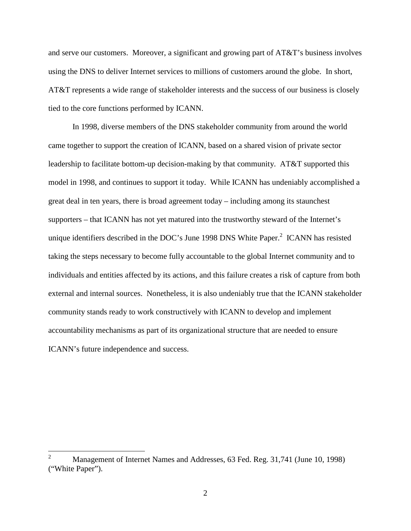and serve our customers. Moreover, a significant and growing part of AT&T's business involves using the DNS to deliver Internet services to millions of customers around the globe. In short, AT&T represents a wide range of stakeholder interests and the success of our business is closely tied to the core functions performed by ICANN.

 In 1998, diverse members of the DNS stakeholder community from around the world came together to support the creation of ICANN, based on a shared vision of private sector leadership to facilitate bottom-up decision-making by that community. AT&T supported this model in 1998, and continues to support it today. While ICANN has undeniably accomplished a great deal in ten years, there is broad agreement today – including among its staunchest supporters – that ICANN has not yet matured into the trustworthy steward of the Internet's unique identifiers described in the DOC's June 1998 DNS White Paper. $^2$  ICANN has resisted taking the steps necessary to become fully accountable to the global Internet community and to individuals and entities affected by its actions, and this failure creates a risk of capture from both external and internal sources. Nonetheless, it is also undeniably true that the ICANN stakeholder community stands ready to work constructively with ICANN to develop and implement accountability mechanisms as part of its organizational structure that are needed to ensure ICANN's future independence and success.

 $\overline{a}$ 

<sup>2</sup> Management of Internet Names and Addresses, 63 Fed. Reg. 31,741 (June 10, 1998) ("White Paper").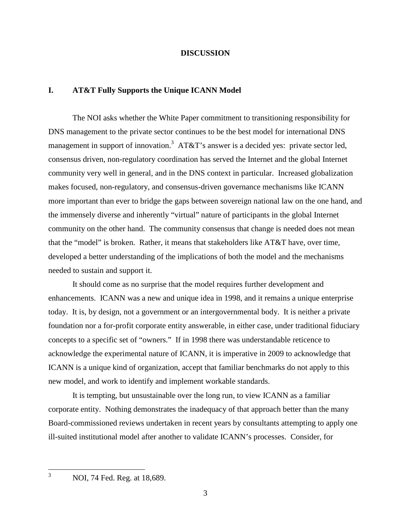#### **DISCUSSION**

### **I. AT&T Fully Supports the Unique ICANN Model**

The NOI asks whether the White Paper commitment to transitioning responsibility for DNS management to the private sector continues to be the best model for international DNS management in support of innovation.<sup>3</sup> AT&T's answer is a decided yes: private sector led, consensus driven, non-regulatory coordination has served the Internet and the global Internet community very well in general, and in the DNS context in particular. Increased globalization makes focused, non-regulatory, and consensus-driven governance mechanisms like ICANN more important than ever to bridge the gaps between sovereign national law on the one hand, and the immensely diverse and inherently "virtual" nature of participants in the global Internet community on the other hand. The community consensus that change is needed does not mean that the "model" is broken. Rather, it means that stakeholders like AT&T have, over time, developed a better understanding of the implications of both the model and the mechanisms needed to sustain and support it.

It should come as no surprise that the model requires further development and enhancements. ICANN was a new and unique idea in 1998, and it remains a unique enterprise today. It is, by design, not a government or an intergovernmental body. It is neither a private foundation nor a for-profit corporate entity answerable, in either case, under traditional fiduciary concepts to a specific set of "owners." If in 1998 there was understandable reticence to acknowledge the experimental nature of ICANN, it is imperative in 2009 to acknowledge that ICANN is a unique kind of organization, accept that familiar benchmarks do not apply to this new model, and work to identify and implement workable standards.

 It is tempting, but unsustainable over the long run, to view ICANN as a familiar corporate entity. Nothing demonstrates the inadequacy of that approach better than the many Board-commissioned reviews undertaken in recent years by consultants attempting to apply one ill-suited institutional model after another to validate ICANN's processes. Consider, for

 $\frac{1}{3}$ 

NOI, 74 Fed. Reg. at 18,689.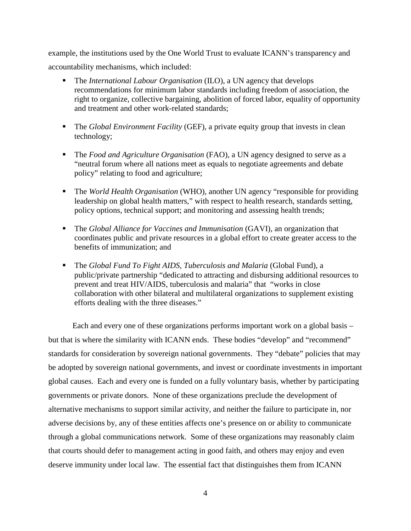example, the institutions used by the One World Trust to evaluate ICANN's transparency and accountability mechanisms, which included:

- The *International Labour Organisation* (ILO), a UN agency that develops recommendations for minimum labor standards including freedom of association, the right to organize, collective bargaining, abolition of forced labor, equality of opportunity and treatment and other work-related standards;
- The *Global Environment Facility* (GEF), a private equity group that invests in clean technology;
- The *Food and Agriculture Organisation* (FAO), a UN agency designed to serve as a "neutral forum where all nations meet as equals to negotiate agreements and debate policy" relating to food and agriculture;
- The *World Health Organisation* (WHO), another UN agency "responsible for providing leadership on global health matters," with respect to health research, standards setting, policy options, technical support; and monitoring and assessing health trends;
- The *Global Alliance for Vaccines and Immunisation* (GAVI), an organization that coordinates public and private resources in a global effort to create greater access to the benefits of immunization; and
- The *Global Fund To Fight AIDS, Tuberculosis and Malaria* (Global Fund), a public/private partnership "dedicated to attracting and disbursing additional resources to prevent and treat HIV/AIDS, tuberculosis and malaria" that "works in close collaboration with other bilateral and multilateral organizations to supplement existing efforts dealing with the three diseases."

 Each and every one of these organizations performs important work on a global basis – but that is where the similarity with ICANN ends. These bodies "develop" and "recommend" standards for consideration by sovereign national governments. They "debate" policies that may be adopted by sovereign national governments, and invest or coordinate investments in important global causes. Each and every one is funded on a fully voluntary basis, whether by participating governments or private donors. None of these organizations preclude the development of alternative mechanisms to support similar activity, and neither the failure to participate in, nor adverse decisions by, any of these entities affects one's presence on or ability to communicate through a global communications network. Some of these organizations may reasonably claim that courts should defer to management acting in good faith, and others may enjoy and even deserve immunity under local law. The essential fact that distinguishes them from ICANN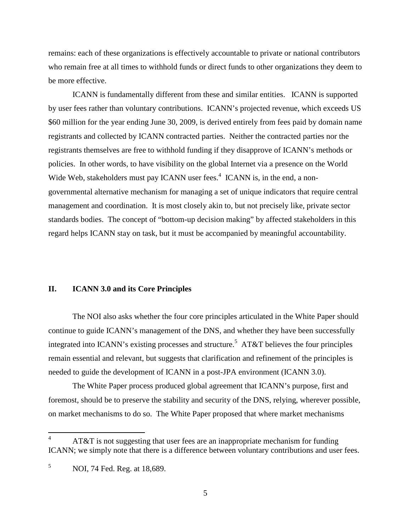remains: each of these organizations is effectively accountable to private or national contributors who remain free at all times to withhold funds or direct funds to other organizations they deem to be more effective.

 ICANN is fundamentally different from these and similar entities. ICANN is supported by user fees rather than voluntary contributions. ICANN's projected revenue, which exceeds US \$60 million for the year ending June 30, 2009, is derived entirely from fees paid by domain name registrants and collected by ICANN contracted parties. Neither the contracted parties nor the registrants themselves are free to withhold funding if they disapprove of ICANN's methods or policies. In other words, to have visibility on the global Internet via a presence on the World Wide Web, stakeholders must pay ICANN user fees. $4$  ICANN is, in the end, a nongovernmental alternative mechanism for managing a set of unique indicators that require central management and coordination. It is most closely akin to, but not precisely like, private sector standards bodies. The concept of "bottom-up decision making" by affected stakeholders in this regard helps ICANN stay on task, but it must be accompanied by meaningful accountability.

### **II. ICANN 3.0 and its Core Principles**

The NOI also asks whether the four core principles articulated in the White Paper should continue to guide ICANN's management of the DNS, and whether they have been successfully integrated into ICANN's existing processes and structure.<sup>5</sup> AT&T believes the four principles remain essential and relevant, but suggests that clarification and refinement of the principles is needed to guide the development of ICANN in a post-JPA environment (ICANN 3.0).

The White Paper process produced global agreement that ICANN's purpose, first and foremost, should be to preserve the stability and security of the DNS, relying, wherever possible, on market mechanisms to do so. The White Paper proposed that where market mechanisms

 $\overline{a}$ 

<sup>4</sup> AT&T is not suggesting that user fees are an inappropriate mechanism for funding ICANN; we simply note that there is a difference between voluntary contributions and user fees.

 5 NOI, 74 Fed. Reg. at 18,689.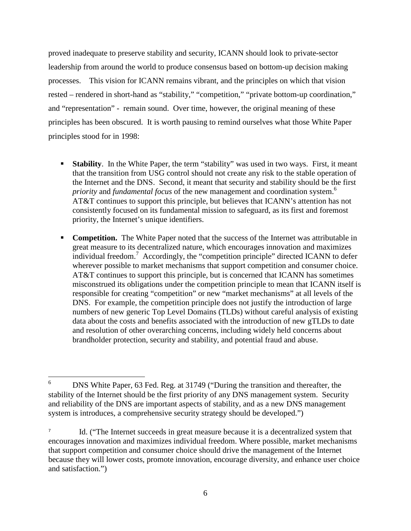proved inadequate to preserve stability and security, ICANN should look to private-sector leadership from around the world to produce consensus based on bottom-up decision making processes. This vision for ICANN remains vibrant, and the principles on which that vision rested – rendered in short-hand as "stability," "competition," "private bottom-up coordination," and "representation" - remain sound. Over time, however, the original meaning of these principles has been obscured. It is worth pausing to remind ourselves what those White Paper principles stood for in 1998:

- **Stability**. In the White Paper, the term "stability" was used in two ways. First, it meant that the transition from USG control should not create any risk to the stable operation of the Internet and the DNS. Second, it meant that security and stability should be the first *priority* and *fundamental focus* of the new management and coordination system.<sup>6</sup> AT&T continues to support this principle, but believes that ICANN's attention has not consistently focused on its fundamental mission to safeguard, as its first and foremost priority, the Internet's unique identifiers.
- **Competition.** The White Paper noted that the success of the Internet was attributable in great measure to its decentralized nature, which encourages innovation and maximizes individual freedom.<sup>7</sup> Accordingly, the "competition principle" directed ICANN to defer wherever possible to market mechanisms that support competition and consumer choice. AT&T continues to support this principle, but is concerned that ICANN has sometimes misconstrued its obligations under the competition principle to mean that ICANN itself is responsible for creating "competition" or new "market mechanisms" at all levels of the DNS. For example, the competition principle does not justify the introduction of large numbers of new generic Top Level Domains (TLDs) without careful analysis of existing data about the costs and benefits associated with the introduction of new gTLDs to date and resolution of other overarching concerns, including widely held concerns about brandholder protection, security and stability, and potential fraud and abuse.

 $\frac{1}{6}$  DNS White Paper, 63 Fed. Reg. at 31749 ("During the transition and thereafter, the stability of the Internet should be the first priority of any DNS management system. Security and reliability of the DNS are important aspects of stability, and as a new DNS management system is introduces, a comprehensive security strategy should be developed.")

Id. ("The Internet succeeds in great measure because it is a decentralized system that encourages innovation and maximizes individual freedom. Where possible, market mechanisms that support competition and consumer choice should drive the management of the Internet because they will lower costs, promote innovation, encourage diversity, and enhance user choice and satisfaction.")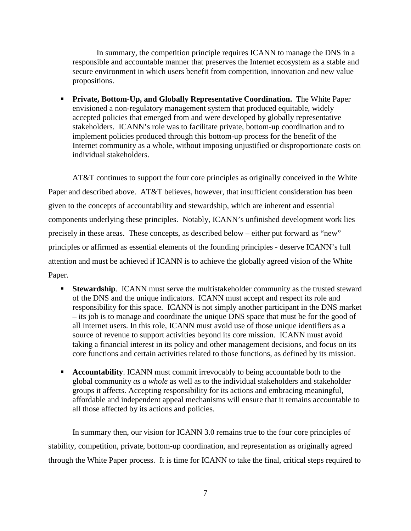In summary, the competition principle requires ICANN to manage the DNS in a responsible and accountable manner that preserves the Internet ecosystem as a stable and secure environment in which users benefit from competition, innovation and new value propositions.

**Private, Bottom-Up, and Globally Representative Coordination.** The White Paper envisioned a non-regulatory management system that produced equitable, widely accepted policies that emerged from and were developed by globally representative stakeholders. ICANN's role was to facilitate private, bottom-up coordination and to implement policies produced through this bottom-up process for the benefit of the Internet community as a whole, without imposing unjustified or disproportionate costs on individual stakeholders.

 AT&T continues to support the four core principles as originally conceived in the White Paper and described above. AT&T believes, however, that insufficient consideration has been given to the concepts of accountability and stewardship, which are inherent and essential components underlying these principles. Notably, ICANN's unfinished development work lies precisely in these areas. These concepts, as described below – either put forward as "new" principles or affirmed as essential elements of the founding principles - deserve ICANN's full attention and must be achieved if ICANN is to achieve the globally agreed vision of the White Paper.

- **Stewardship**. ICANN must serve the multistakeholder community as the trusted steward of the DNS and the unique indicators. ICANN must accept and respect its role and responsibility for this space. ICANN is not simply another participant in the DNS market – its job is to manage and coordinate the unique DNS space that must be for the good of all Internet users. In this role, ICANN must avoid use of those unique identifiers as a source of revenue to support activities beyond its core mission. ICANN must avoid taking a financial interest in its policy and other management decisions, and focus on its core functions and certain activities related to those functions, as defined by its mission.
- **Accountability.** ICANN must commit irrevocably to being accountable both to the global community *as a whole* as well as to the individual stakeholders and stakeholder groups it affects. Accepting responsibility for its actions and embracing meaningful, affordable and independent appeal mechanisms will ensure that it remains accountable to all those affected by its actions and policies.

 In summary then, our vision for ICANN 3.0 remains true to the four core principles of stability, competition, private, bottom-up coordination, and representation as originally agreed through the White Paper process. It is time for ICANN to take the final, critical steps required to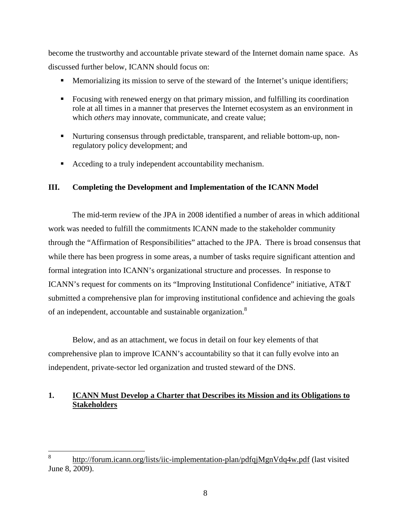become the trustworthy and accountable private steward of the Internet domain name space. As discussed further below, ICANN should focus on:

- **Memorializing its mission to serve of the steward of the Internet's unique identifiers;**
- Focusing with renewed energy on that primary mission, and fulfilling its coordination role at all times in a manner that preserves the Internet ecosystem as an environment in which *others* may innovate, communicate, and create value;
- Nurturing consensus through predictable, transparent, and reliable bottom-up, nonregulatory policy development; and
- Acceding to a truly independent accountability mechanism.

### **III. Completing the Development and Implementation of the ICANN Model**

The mid-term review of the JPA in 2008 identified a number of areas in which additional work was needed to fulfill the commitments ICANN made to the stakeholder community through the "Affirmation of Responsibilities" attached to the JPA. There is broad consensus that while there has been progress in some areas, a number of tasks require significant attention and formal integration into ICANN's organizational structure and processes. In response to ICANN's request for comments on its "Improving Institutional Confidence" initiative, AT&T submitted a comprehensive plan for improving institutional confidence and achieving the goals of an independent, accountable and sustainable organization.<sup>8</sup>

Below, and as an attachment, we focus in detail on four key elements of that comprehensive plan to improve ICANN's accountability so that it can fully evolve into an independent, private-sector led organization and trusted steward of the DNS.

## **1. ICANN Must Develop a Charter that Describes its Mission and its Obligations to Stakeholders**

 8 http://forum.icann.org/lists/iic-implementation-plan/pdfqjMgnVdq4w.pdf (last visited June 8, 2009).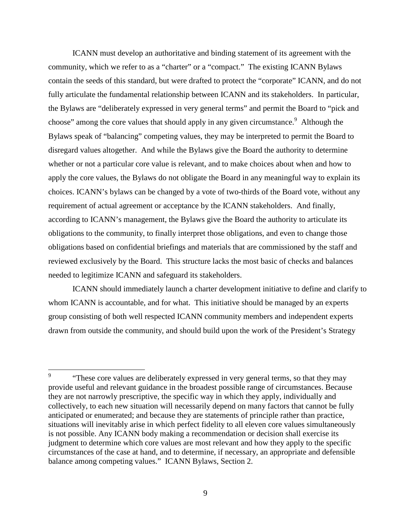ICANN must develop an authoritative and binding statement of its agreement with the community, which we refer to as a "charter" or a "compact." The existing ICANN Bylaws contain the seeds of this standard, but were drafted to protect the "corporate" ICANN, and do not fully articulate the fundamental relationship between ICANN and its stakeholders. In particular, the Bylaws are "deliberately expressed in very general terms" and permit the Board to "pick and choose" among the core values that should apply in any given circumstance. Although the Bylaws speak of "balancing" competing values, they may be interpreted to permit the Board to disregard values altogether. And while the Bylaws give the Board the authority to determine whether or not a particular core value is relevant, and to make choices about when and how to apply the core values, the Bylaws do not obligate the Board in any meaningful way to explain its choices. ICANN's bylaws can be changed by a vote of two-thirds of the Board vote, without any requirement of actual agreement or acceptance by the ICANN stakeholders. And finally, according to ICANN's management, the Bylaws give the Board the authority to articulate its obligations to the community, to finally interpret those obligations, and even to change those obligations based on confidential briefings and materials that are commissioned by the staff and reviewed exclusively by the Board. This structure lacks the most basic of checks and balances needed to legitimize ICANN and safeguard its stakeholders.

 ICANN should immediately launch a charter development initiative to define and clarify to whom ICANN is accountable, and for what. This initiative should be managed by an experts group consisting of both well respected ICANN community members and independent experts drawn from outside the community, and should build upon the work of the President's Strategy

 $\overline{a}$ 

<sup>9</sup> "These core values are deliberately expressed in very general terms, so that they may provide useful and relevant guidance in the broadest possible range of circumstances. Because they are not narrowly prescriptive, the specific way in which they apply, individually and collectively, to each new situation will necessarily depend on many factors that cannot be fully anticipated or enumerated; and because they are statements of principle rather than practice, situations will inevitably arise in which perfect fidelity to all eleven core values simultaneously is not possible. Any ICANN body making a recommendation or decision shall exercise its judgment to determine which core values are most relevant and how they apply to the specific circumstances of the case at hand, and to determine, if necessary, an appropriate and defensible balance among competing values." ICANN Bylaws, Section 2.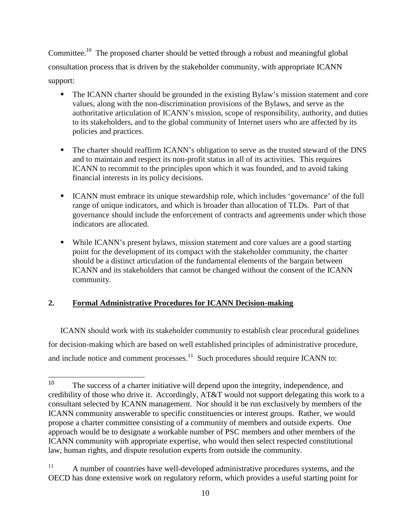Committee.<sup>10</sup> The proposed charter should be vetted through a robust and meaningful global consultation process that is driven by the stakeholder community, with appropriate ICANN support:

- The ICANN charter should be grounded in the existing Bylaw's mission statement and core values, along with the non-discrimination provisions of the Bylaws, and serve as the authoritative articulation of ICANN's mission, scope of responsibility, authority, and duties to its stakeholders, and to the global community of Internet users who are affected by its policies and practices.
- The charter should reaffirm ICANN's obligation to serve as the trusted steward of the DNS and to maintain and respect its non-profit status in all of its activities. This requires ICANN to recommit to the principles upon which it was founded, and to avoid taking financial interests in its policy decisions.
- ICANN must embrace its unique stewardship role, which includes 'governance' of the full range of unique indicators, and which is broader than allocation of TLDs. Part of that governance should include the enforcement of contracts and agreements under which those indicators are allocated.
- While ICANN's present bylaws, mission statement and core values are a good starting point for the development of its compact with the stakeholder community, the charter should be a distinct articulation of the fundamental elements of the bargain between ICANN and its stakeholders that cannot be changed without the consent of the ICANN community.

# **2. Formal Administrative Procedures for ICANN Decision-making**

ICANN should work with its stakeholder community to establish clear procedural guidelines for decision-making which are based on well established principles of administrative procedure, and include notice and comment processes. $11$  Such procedures should require ICANN to:

 $\frac{1}{10}$  The success of a charter initiative will depend upon the integrity, independence, and credibility of those who drive it. Accordingly, AT&T would not support delegating this work to a consultant selected by ICANN management. Nor should it be run exclusively by members of the ICANN community answerable to specific constituencies or interest groups. Rather, we would propose a charter committee consisting of a community of members and outside experts. One approach would be to designate a workable number of PSC members and other members of the ICANN community with appropriate expertise, who would then select respected constitutional law, human rights, and dispute resolution experts from outside the community.

<sup>&</sup>lt;sup>11</sup> A number of countries have well-developed administrative procedures systems, and the OECD has done extensive work on regulatory reform, which provides a useful starting point for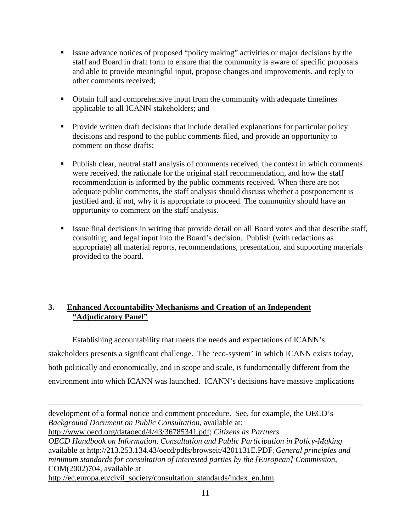- Issue advance notices of proposed "policy making" activities or major decisions by the staff and Board in draft form to ensure that the community is aware of specific proposals and able to provide meaningful input, propose changes and improvements, and reply to other comments received;
- Obtain full and comprehensive input from the community with adequate timelines applicable to all ICANN stakeholders; and
- **Provide written draft decisions that include detailed explanations for particular policy** decisions and respond to the public comments filed, and provide an opportunity to comment on those drafts;
- Publish clear, neutral staff analysis of comments received, the context in which comments were received, the rationale for the original staff recommendation, and how the staff recommendation is informed by the public comments received. When there are not adequate public comments, the staff analysis should discuss whether a postponement is justified and, if not, why it is appropriate to proceed. The community should have an opportunity to comment on the staff analysis.
- Issue final decisions in writing that provide detail on all Board votes and that describe staff, consulting, and legal input into the Board's decision. Publish (with redactions as appropriate) all material reports, recommendations, presentation, and supporting materials provided to the board.

## **3. Enhanced Accountability Mechanisms and Creation of an Independent "Adjudicatory Panel"**

Establishing accountability that meets the needs and expectations of ICANN's stakeholders presents a significant challenge. The 'eco-system' in which ICANN exists today, both politically and economically, and in scope and scale, is fundamentally different from the environment into which ICANN was launched. ICANN's decisions have massive implications

 $\overline{a}$ development of a formal notice and comment procedure. See, for example, the OECD's *Background Document on Public Consultation,* available at: http://www.oecd.org/dataoecd/4/43/36785341.pdf; *Citizens as Partners OECD Handbook on Information, Consultation and Public Participation in Policy-Making*, available at http://213.253.134.43/oecd/pdfs/browseit/4201131E.PDF; *General principles and minimum standards for consultation of interested parties by the [European] Commission*, COM(2002)704, available at http://ec.europa.eu/civil\_society/consultation\_standards/index\_en.htm.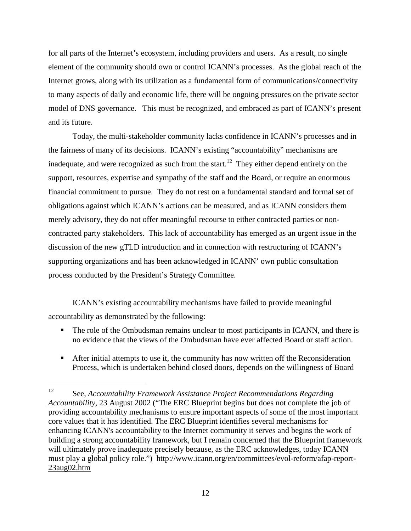for all parts of the Internet's ecosystem, including providers and users. As a result, no single element of the community should own or control ICANN's processes. As the global reach of the Internet grows, along with its utilization as a fundamental form of communications/connectivity to many aspects of daily and economic life, there will be ongoing pressures on the private sector model of DNS governance. This must be recognized, and embraced as part of ICANN's present and its future.

Today, the multi-stakeholder community lacks confidence in ICANN's processes and in the fairness of many of its decisions. ICANN's existing "accountability" mechanisms are inadequate, and were recognized as such from the start.<sup>12</sup> They either depend entirely on the support, resources, expertise and sympathy of the staff and the Board, or require an enormous financial commitment to pursue. They do not rest on a fundamental standard and formal set of obligations against which ICANN's actions can be measured, and as ICANN considers them merely advisory, they do not offer meaningful recourse to either contracted parties or noncontracted party stakeholders. This lack of accountability has emerged as an urgent issue in the discussion of the new gTLD introduction and in connection with restructuring of ICANN's supporting organizations and has been acknowledged in ICANN' own public consultation process conducted by the President's Strategy Committee.

 ICANN's existing accountability mechanisms have failed to provide meaningful accountability as demonstrated by the following:

- The role of the Ombudsman remains unclear to most participants in ICANN, and there is no evidence that the views of the Ombudsman have ever affected Board or staff action.
- After initial attempts to use it, the community has now written off the Reconsideration Process, which is undertaken behind closed doors, depends on the willingness of Board

<sup>12</sup> <sup>12</sup> See, *Accountability Framework Assistance Project Recommendations Regarding Accountability*, 23 August 2002 ("The ERC Blueprint begins but does not complete the job of providing accountability mechanisms to ensure important aspects of some of the most important core values that it has identified. The ERC Blueprint identifies several mechanisms for enhancing ICANN's accountability to the Internet community it serves and begins the work of building a strong accountability framework, but I remain concerned that the Blueprint framework will ultimately prove inadequate precisely because, as the ERC acknowledges, today ICANN must play a global policy role.") http://www.icann.org/en/committees/evol-reform/afap-report-23aug02.htm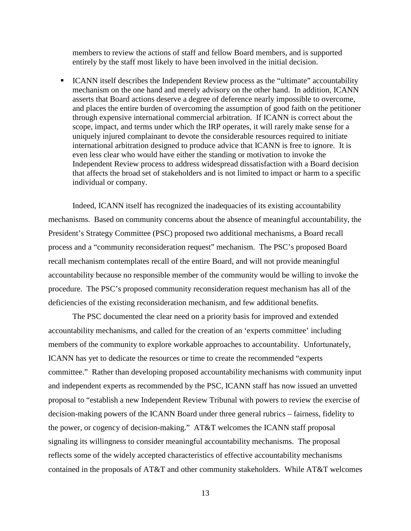members to review the actions of staff and fellow Board members, and is supported entirely by the staff most likely to have been involved in the initial decision.

**ICANN** itself describes the Independent Review process as the "ultimate" accountability mechanism on the one hand and merely advisory on the other hand. In addition, ICANN asserts that Board actions deserve a degree of deference nearly impossible to overcome, and places the entire burden of overcoming the assumption of good faith on the petitioner through expensive international commercial arbitration. If ICANN is correct about the scope, impact, and terms under which the IRP operates, it will rarely make sense for a uniquely injured complainant to devote the considerable resources required to initiate international arbitration designed to produce advice that ICANN is free to ignore. It is even less clear who would have either the standing or motivation to invoke the Independent Review process to address widespread dissatisfaction with a Board decision that affects the broad set of stakeholders and is not limited to impact or harm to a specific individual or company.

 Indeed, ICANN itself has recognized the inadequacies of its existing accountability mechanisms. Based on community concerns about the absence of meaningful accountability, the President's Strategy Committee (PSC) proposed two additional mechanisms, a Board recall process and a "community reconsideration request" mechanism. The PSC's proposed Board recall mechanism contemplates recall of the entire Board, and will not provide meaningful accountability because no responsible member of the community would be willing to invoke the procedure. The PSC's proposed community reconsideration request mechanism has all of the deficiencies of the existing reconsideration mechanism, and few additional benefits.

 The PSC documented the clear need on a priority basis for improved and extended accountability mechanisms, and called for the creation of an 'experts committee' including members of the community to explore workable approaches to accountability. Unfortunately, ICANN has yet to dedicate the resources or time to create the recommended "experts committee." Rather than developing proposed accountability mechanisms with community input and independent experts as recommended by the PSC, ICANN staff has now issued an unvetted proposal to "establish a new Independent Review Tribunal with powers to review the exercise of decision-making powers of the ICANN Board under three general rubrics – fairness, fidelity to the power, or cogency of decision-making." AT&T welcomes the ICANN staff proposal signaling its willingness to consider meaningful accountability mechanisms. The proposal reflects some of the widely accepted characteristics of effective accountability mechanisms contained in the proposals of AT&T and other community stakeholders. While AT&T welcomes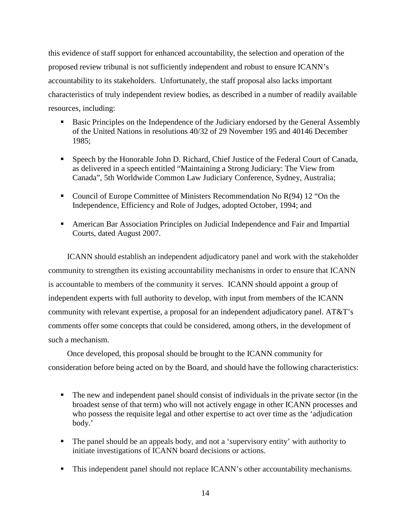this evidence of staff support for enhanced accountability, the selection and operation of the proposed review tribunal is not sufficiently independent and robust to ensure ICANN's accountability to its stakeholders. Unfortunately, the staff proposal also lacks important characteristics of truly independent review bodies, as described in a number of readily available resources, including:

- **Basic Principles on the Independence of the Judiciary endorsed by the General Assembly** of the United Nations in resolutions 40/32 of 29 November 195 and 40146 December 1985;
- Speech by the Honorable John D. Richard, Chief Justice of the Federal Court of Canada, as delivered in a speech entitled "Maintaining a Strong Judiciary: The View from Canada", 5th Worldwide Common Law Judiciary Conference, Sydney, Australia;
- Council of Europe Committee of Ministers Recommendation No R(94) 12 "On the Independence, Efficiency and Role of Judges, adopted October, 1994; and
- American Bar Association Principles on Judicial Independence and Fair and Impartial Courts, dated August 2007.

 ICANN should establish an independent adjudicatory panel and work with the stakeholder community to strengthen its existing accountability mechanisms in order to ensure that ICANN is accountable to members of the community it serves. ICANN should appoint a group of independent experts with full authority to develop, with input from members of the ICANN community with relevant expertise, a proposal for an independent adjudicatory panel. AT&T's comments offer some concepts that could be considered, among others, in the development of such a mechanism.

 Once developed, this proposal should be brought to the ICANN community for consideration before being acted on by the Board, and should have the following characteristics:

- The new and independent panel should consist of individuals in the private sector (in the broadest sense of that term) who will not actively engage in other ICANN processes and who possess the requisite legal and other expertise to act over time as the 'adjudication body.'
- The panel should be an appeals body, and not a 'supervisory entity' with authority to initiate investigations of ICANN board decisions or actions.
- This independent panel should not replace ICANN's other accountability mechanisms.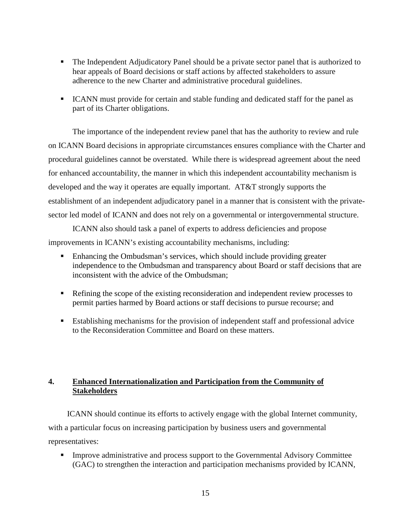- The Independent Adjudicatory Panel should be a private sector panel that is authorized to hear appeals of Board decisions or staff actions by affected stakeholders to assure adherence to the new Charter and administrative procedural guidelines.
- ICANN must provide for certain and stable funding and dedicated staff for the panel as part of its Charter obligations.

 The importance of the independent review panel that has the authority to review and rule on ICANN Board decisions in appropriate circumstances ensures compliance with the Charter and procedural guidelines cannot be overstated. While there is widespread agreement about the need for enhanced accountability, the manner in which this independent accountability mechanism is developed and the way it operates are equally important. AT&T strongly supports the establishment of an independent adjudicatory panel in a manner that is consistent with the privatesector led model of ICANN and does not rely on a governmental or intergovernmental structure.

 ICANN also should task a panel of experts to address deficiencies and propose improvements in ICANN's existing accountability mechanisms, including:

- **Enhancing the Ombudsman's services, which should include providing greater** independence to the Ombudsman and transparency about Board or staff decisions that are inconsistent with the advice of the Ombudsman;
- **Refining the scope of the existing reconsideration and independent review processes to** permit parties harmed by Board actions or staff decisions to pursue recourse; and
- Establishing mechanisms for the provision of independent staff and professional advice to the Reconsideration Committee and Board on these matters.

# **4. Enhanced Internationalization and Participation from the Community of Stakeholders**

 ICANN should continue its efforts to actively engage with the global Internet community, with a particular focus on increasing participation by business users and governmental representatives:

 Improve administrative and process support to the Governmental Advisory Committee (GAC) to strengthen the interaction and participation mechanisms provided by ICANN,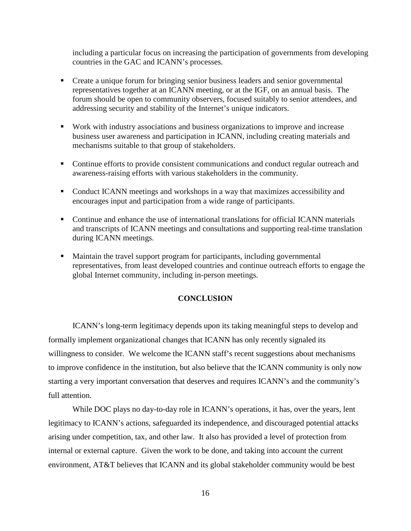including a particular focus on increasing the participation of governments from developing countries in the GAC and ICANN's processes.

- Create a unique forum for bringing senior business leaders and senior governmental representatives together at an ICANN meeting, or at the IGF, on an annual basis. The forum should be open to community observers, focused suitably to senior attendees, and addressing security and stability of the Internet's unique indicators.
- Work with industry associations and business organizations to improve and increase business user awareness and participation in ICANN, including creating materials and mechanisms suitable to that group of stakeholders.
- Continue efforts to provide consistent communications and conduct regular outreach and awareness-raising efforts with various stakeholders in the community.
- Conduct ICANN meetings and workshops in a way that maximizes accessibility and encourages input and participation from a wide range of participants.
- Continue and enhance the use of international translations for official ICANN materials and transcripts of ICANN meetings and consultations and supporting real-time translation during ICANN meetings.
- Maintain the travel support program for participants, including governmental representatives, from least developed countries and continue outreach efforts to engage the global Internet community, including in-person meetings.

### **CONCLUSION**

ICANN's long-term legitimacy depends upon its taking meaningful steps to develop and formally implement organizational changes that ICANN has only recently signaled its willingness to consider. We welcome the ICANN staff's recent suggestions about mechanisms to improve confidence in the institution, but also believe that the ICANN community is only now starting a very important conversation that deserves and requires ICANN's and the community's full attention.

While DOC plays no day-to-day role in ICANN's operations, it has, over the years, lent legitimacy to ICANN's actions, safeguarded its independence, and discouraged potential attacks arising under competition, tax, and other law. It also has provided a level of protection from internal or external capture. Given the work to be done, and taking into account the current environment, AT&T believes that ICANN and its global stakeholder community would be best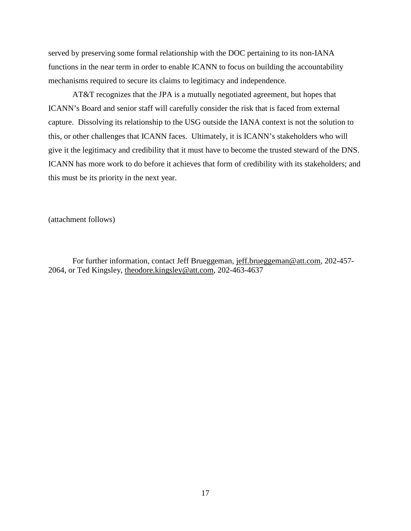served by preserving some formal relationship with the DOC pertaining to its non-IANA functions in the near term in order to enable ICANN to focus on building the accountability mechanisms required to secure its claims to legitimacy and independence.

 AT&T recognizes that the JPA is a mutually negotiated agreement, but hopes that ICANN's Board and senior staff will carefully consider the risk that is faced from external capture. Dissolving its relationship to the USG outside the IANA context is not the solution to this, or other challenges that ICANN faces. Ultimately, it is ICANN's stakeholders who will give it the legitimacy and credibility that it must have to become the trusted steward of the DNS. ICANN has more work to do before it achieves that form of credibility with its stakeholders; and this must be its priority in the next year.

(attachment follows)

 For further information, contact Jeff Brueggeman, jeff.brueggeman@att.com, 202-457- 2064, or Ted Kingsley, theodore.kingsley@att.com, 202-463-4637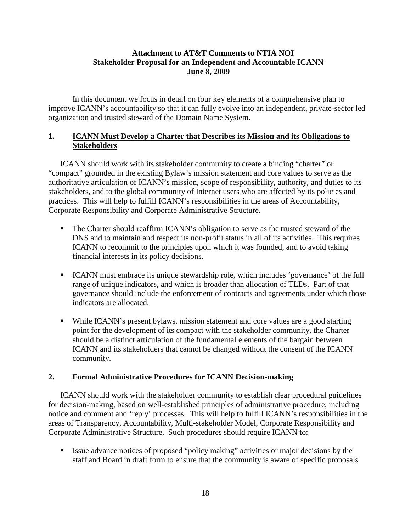## **Attachment to AT&T Comments to NTIA NOI Stakeholder Proposal for an Independent and Accountable ICANN June 8, 2009**

In this document we focus in detail on four key elements of a comprehensive plan to improve ICANN's accountability so that it can fully evolve into an independent, private-sector led organization and trusted steward of the Domain Name System.

## **1. ICANN Must Develop a Charter that Describes its Mission and its Obligations to Stakeholders**

ICANN should work with its stakeholder community to create a binding "charter" or "compact" grounded in the existing Bylaw's mission statement and core values to serve as the authoritative articulation of ICANN's mission, scope of responsibility, authority, and duties to its stakeholders, and to the global community of Internet users who are affected by its policies and practices. This will help to fulfill ICANN's responsibilities in the areas of Accountability, Corporate Responsibility and Corporate Administrative Structure.

- The Charter should reaffirm ICANN's obligation to serve as the trusted steward of the DNS and to maintain and respect its non-profit status in all of its activities. This requires ICANN to recommit to the principles upon which it was founded, and to avoid taking financial interests in its policy decisions.
- ICANN must embrace its unique stewardship role, which includes 'governance' of the full range of unique indicators, and which is broader than allocation of TLDs. Part of that governance should include the enforcement of contracts and agreements under which those indicators are allocated.
- While ICANN's present bylaws, mission statement and core values are a good starting point for the development of its compact with the stakeholder community, the Charter should be a distinct articulation of the fundamental elements of the bargain between ICANN and its stakeholders that cannot be changed without the consent of the ICANN community.

## **2. Formal Administrative Procedures for ICANN Decision-making**

ICANN should work with the stakeholder community to establish clear procedural guidelines for decision-making, based on well-established principles of administrative procedure, including notice and comment and 'reply' processes. This will help to fulfill ICANN's responsibilities in the areas of Transparency, Accountability, Multi-stakeholder Model, Corporate Responsibility and Corporate Administrative Structure. Such procedures should require ICANN to:

 Issue advance notices of proposed "policy making" activities or major decisions by the staff and Board in draft form to ensure that the community is aware of specific proposals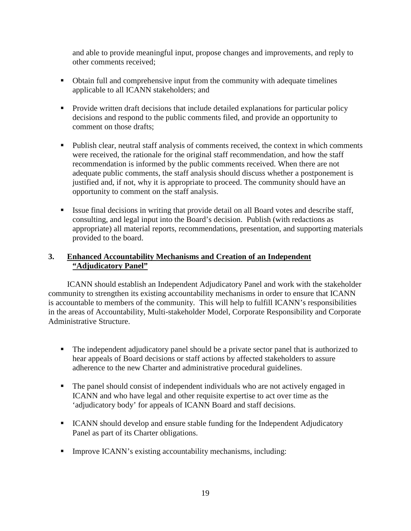and able to provide meaningful input, propose changes and improvements, and reply to other comments received;

- Obtain full and comprehensive input from the community with adequate timelines applicable to all ICANN stakeholders; and
- **Provide written draft decisions that include detailed explanations for particular policy** decisions and respond to the public comments filed, and provide an opportunity to comment on those drafts;
- Publish clear, neutral staff analysis of comments received, the context in which comments were received, the rationale for the original staff recommendation, and how the staff recommendation is informed by the public comments received. When there are not adequate public comments, the staff analysis should discuss whether a postponement is justified and, if not, why it is appropriate to proceed. The community should have an opportunity to comment on the staff analysis.
- Issue final decisions in writing that provide detail on all Board votes and describe staff, consulting, and legal input into the Board's decision. Publish (with redactions as appropriate) all material reports, recommendations, presentation, and supporting materials provided to the board.

## **3. Enhanced Accountability Mechanisms and Creation of an Independent "Adjudicatory Panel"**

 ICANN should establish an Independent Adjudicatory Panel and work with the stakeholder community to strengthen its existing accountability mechanisms in order to ensure that ICANN is accountable to members of the community. This will help to fulfill ICANN's responsibilities in the areas of Accountability, Multi-stakeholder Model, Corporate Responsibility and Corporate Administrative Structure.

- The independent adjudicatory panel should be a private sector panel that is authorized to hear appeals of Board decisions or staff actions by affected stakeholders to assure adherence to the new Charter and administrative procedural guidelines.
- The panel should consist of independent individuals who are not actively engaged in ICANN and who have legal and other requisite expertise to act over time as the 'adjudicatory body' for appeals of ICANN Board and staff decisions.
- **ICANN** should develop and ensure stable funding for the Independent Adjudicatory Panel as part of its Charter obligations.
- Improve ICANN's existing accountability mechanisms, including: